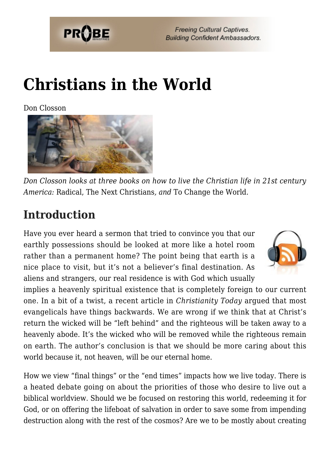

# **[Christians in the World](https://probe.org/christians-in-the-world/)**

Don Closson



*Don Closson looks at three books on how to live the Christian life in 21st century America:* Radical, The Next Christians*, and* To Change the World.

# **Introduction**

Have you ever heard a sermon that tried to convince you that our earthly possessions should be looked at more like a hotel room rather than a permanent home? The point being that earth is a nice place to visit, but it's not a believer's final destination. As aliens and strangers, our real residence is with God which usually



implies a heavenly spiritual existence that is completely foreign to our current one. In a bit of a twist, a recent article in *Christianity Today* argued that most evangelicals have things backwards. We are wrong if we think that at Christ's return the wicked will be "left behind" and the righteous will be taken away to a heavenly abode. It's the wicked who will be removed while the righteous remain on earth. The author's conclusion is that we should be more caring about this world because it, not heaven, will be our eternal home.

How we view "final things" or the "end times" impacts how we live today. There is a heated debate going on about the priorities of those who desire to live out a biblical worldview. Should we be focused on restoring this world, redeeming it for God, or on offering the lifeboat of salvation in order to save some from impending destruction along with the rest of the cosmos? Are we to be mostly about creating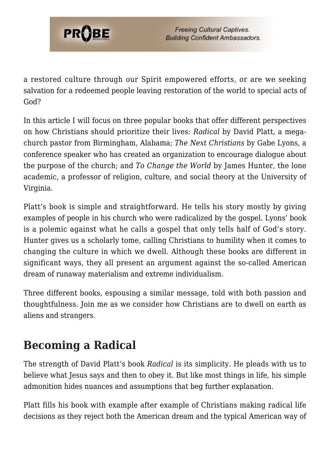

a restored culture through our Spirit empowered efforts, or are we seeking salvation for a redeemed people leaving restoration of the world to special acts of God?

In this article I will focus on three popular books that offer different perspectives on how Christians should prioritize their lives: *Radical* by David Platt, a megachurch pastor from Birmingham, Alabama; *The Next Christians* by Gabe Lyons, a conference speaker who has created an organization to encourage dialogue about the purpose of the church; and *To Change the World* by James Hunter, the lone academic, a professor of religion, culture, and social theory at the University of Virginia.

Platt's book is simple and straightforward. He tells his story mostly by giving examples of people in his church who were radicalized by the gospel. Lyons' book is a polemic against what he calls a gospel that only tells half of God's story. Hunter gives us a scholarly tome, calling Christians to humility when it comes to changing the culture in which we dwell. Although these books are different in significant ways, they all present an argument against the so-called American dream of runaway materialism and extreme individualism.

Three different books, espousing a similar message, told with both passion and thoughtfulness. Join me as we consider how Christians are to dwell on earth as aliens and strangers.

# **Becoming a Radical**

The strength of David Platt's book *Radical* is its simplicity. He pleads with us to believe what Jesus says and then to obey it. But like most things in life, his simple admonition hides nuances and assumptions that beg further explanation.

Platt fills his book with example after example of Christians making radical life decisions as they reject both the American dream and the typical American way of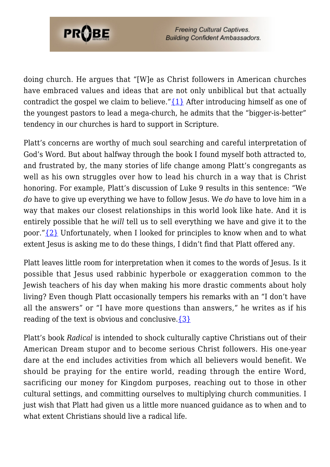

doing church. He argues that "[W]e as Christ followers in American churches have embraced values and ideas that are not only unbiblical but that actually contradict the gospel we claim to believe." $\{1\}$  After introducing himself as one of the youngest pastors to lead a mega-church, he admits that the "bigger-is-better" tendency in our churches is hard to support in Scripture.

Platt's concerns are worthy of much soul searching and careful interpretation of God's Word. But about halfway through the book I found myself both attracted to, and frustrated by, the many stories of life change among Platt's congregants as well as his own struggles over how to lead his church in a way that is Christ honoring. For example, Platt's discussion of Luke 9 results in this sentence: "We *do* have to give up everything we have to follow Jesus. We *do* have to love him in a way that makes our closest relationships in this world look like hate. And it is entirely possible that he *will* tell us to sell everything we have and give it to the poor." $\{2\}$  Unfortunately, when I looked for principles to know when and to what extent Jesus is asking me to do these things, I didn't find that Platt offered any.

Platt leaves little room for interpretation when it comes to the words of Jesus. Is it possible that Jesus used rabbinic hyperbole or exaggeration common to the Jewish teachers of his day when making his more drastic comments about holy living? Even though Platt occasionally tempers his remarks with an "I don't have all the answers" or "I have more questions than answers," he writes as if his reading of the text is obvious and conclusive.  $\{3\}$ 

Platt's book *Radical* is intended to shock culturally captive Christians out of their American Dream stupor and to become serious Christ followers. His one-year dare at the end includes activities from which all believers would benefit. We should be praying for the entire world, reading through the entire Word, sacrificing our money for Kingdom purposes, reaching out to those in other cultural settings, and committing ourselves to multiplying church communities. I just wish that Platt had given us a little more nuanced guidance as to when and to what extent Christians should live a radical life.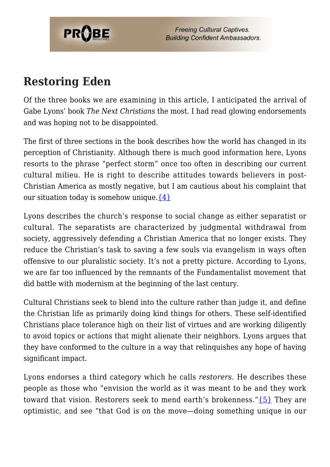

### **Restoring Eden**

Of the three books we are examining in this article, I anticipated the arrival of Gabe Lyons' book *The Next Christians* the most. I had read glowing endorsements and was hoping not to be disappointed.

The first of three sections in the book describes how the world has changed in its perception of Christianity. Although there is much good information here, Lyons resorts to the phrase "perfect storm" once too often in describing our current cultural milieu. He is right to describe attitudes towards believers in post-Christian America as mostly negative, but I am cautious about his complaint that our situation today is somehow unique.  $\{4\}$ 

Lyons describes the church's response to social change as either separatist or cultural. The separatists are characterized by judgmental withdrawal from society, aggressively defending a Christian America that no longer exists. They reduce the Christian's task to saving a few souls via evangelism in ways often offensive to our pluralistic society. It's not a pretty picture. According to Lyons, we are far too influenced by the remnants of the Fundamentalist movement that did battle with modernism at the beginning of the last century.

Cultural Christians seek to blend into the culture rather than judge it, and define the Christian life as primarily doing kind things for others. These self-identified Christians place tolerance high on their list of virtues and are working diligently to avoid topics or actions that might alienate their neighbors. Lyons argues that they have conformed to the culture in a way that relinquishes any hope of having significant impact.

Lyons endorses a third category which he calls *restorers*. He describes these people as those who "envision the world as it was meant to be and they work toward that vision. Restorers seek to mend earth's brokenness.["{5}](#page-7-4) They are optimistic, and see "that God is on the move—doing something unique in our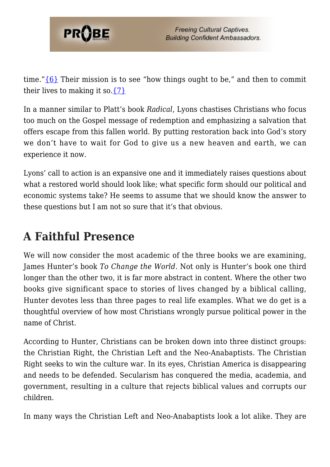

time." $\{6\}$  Their mission is to see "how things ought to be," and then to commit their lives to making it so.  $\{7\}$ 

In a manner similar to Platt's book *Radical*, Lyons chastises Christians who focus too much on the Gospel message of redemption and emphasizing a salvation that offers escape from this fallen world. By putting restoration back into God's story we don't have to wait for God to give us a new heaven and earth, we can experience it now.

Lyons' call to action is an expansive one and it immediately raises questions about what a restored world should look like; what specific form should our political and economic systems take? He seems to assume that we should know the answer to these questions but I am not so sure that it's that obvious.

# **A Faithful Presence**

We will now consider the most academic of the three books we are examining, James Hunter's book *To Change the World*. Not only is Hunter's book one third longer than the other two, it is far more abstract in content. Where the other two books give significant space to stories of lives changed by a biblical calling, Hunter devotes less than three pages to real life examples. What we do get is a thoughtful overview of how most Christians wrongly pursue political power in the name of Christ.

According to Hunter, Christians can be broken down into three distinct groups: the Christian Right, the Christian Left and the Neo-Anabaptists. The Christian Right seeks to win the culture war. In its eyes, Christian America is disappearing and needs to be defended. Secularism has conquered the media, academia, and government, resulting in a culture that rejects biblical values and corrupts our children.

In many ways the Christian Left and Neo-Anabaptists look a lot alike. They are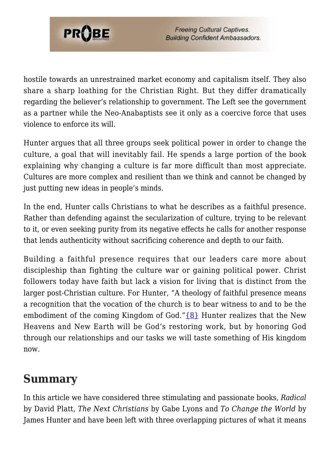

hostile towards an unrestrained market economy and capitalism itself. They also share a sharp loathing for the Christian Right. But they differ dramatically regarding the believer's relationship to government. The Left see the government as a partner while the Neo-Anabaptists see it only as a coercive force that uses violence to enforce its will.

Hunter argues that all three groups seek political power in order to change the culture, a goal that will inevitably fail. He spends a large portion of the book explaining why changing a culture is far more difficult than most appreciate. Cultures are more complex and resilient than we think and cannot be changed by just putting new ideas in people's minds.

In the end, Hunter calls Christians to what he describes as a faithful presence. Rather than defending against the secularization of culture, trying to be relevant to it, or even seeking purity from its negative effects he calls for another response that lends authenticity without sacrificing coherence and depth to our faith.

Building a faithful presence requires that our leaders care more about discipleship than fighting the culture war or gaining political power. Christ followers today have faith but lack a vision for living that is distinct from the larger post-Christian culture. For Hunter, "A theology of faithful presence means a recognition that the vocation of the church is to bear witness to and to be the embodiment of the coming Kingdom of God." $\{8\}$  Hunter realizes that the New Heavens and New Earth will be God's restoring work, but by honoring God through our relationships and our tasks we will taste something of His kingdom now.

## **Summary**

In this article we have considered three stimulating and passionate books, *Radical* by David Platt, *The Next Christians* by Gabe Lyons and *To Change the World* by James Hunter and have been left with three overlapping pictures of what it means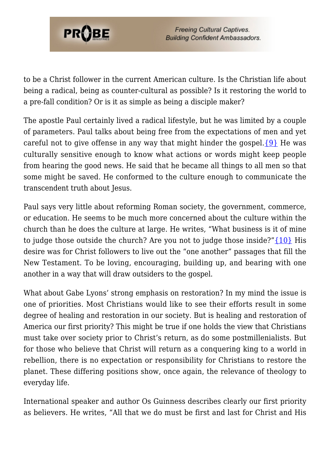

to be a Christ follower in the current American culture. Is the Christian life about being a radical, being as counter-cultural as possible? Is it restoring the world to a pre-fall condition? Or is it as simple as being a disciple maker?

The apostle Paul certainly lived a radical lifestyle, but he was limited by a couple of parameters. Paul talks about being free from the expectations of men and yet careful not to give offense in any way that might hinder the gospel.  $\{9\}$  He was culturally sensitive enough to know what actions or words might keep people from hearing the good news. He said that he became all things to all men so that some might be saved. He conformed to the culture enough to communicate the transcendent truth about Jesus.

Paul says very little about reforming Roman society, the government, commerce, or education. He seems to be much more concerned about the culture within the church than he does the culture at large. He writes, "What business is it of mine to judge those outside the church? Are you not to judge those inside?["{10}](#page-7-8) His desire was for Christ followers to live out the "one another" passages that fill the New Testament. To be loving, encouraging, building up, and bearing with one another in a way that will draw outsiders to the gospel.

What about Gabe Lyons' strong emphasis on restoration? In my mind the issue is one of priorities. Most Christians would like to see their efforts result in some degree of healing and restoration in our society. But is healing and restoration of America our first priority? This might be true if one holds the view that Christians must take over society prior to Christ's return, as do some postmillenialists. But for those who believe that Christ will return as a conquering king to a world in rebellion, there is no expectation or responsibility for Christians to restore the planet. These differing positions show, once again, the relevance of theology to everyday life.

International speaker and author Os Guinness describes clearly our first priority as believers. He writes, "All that we do must be first and last for Christ and His